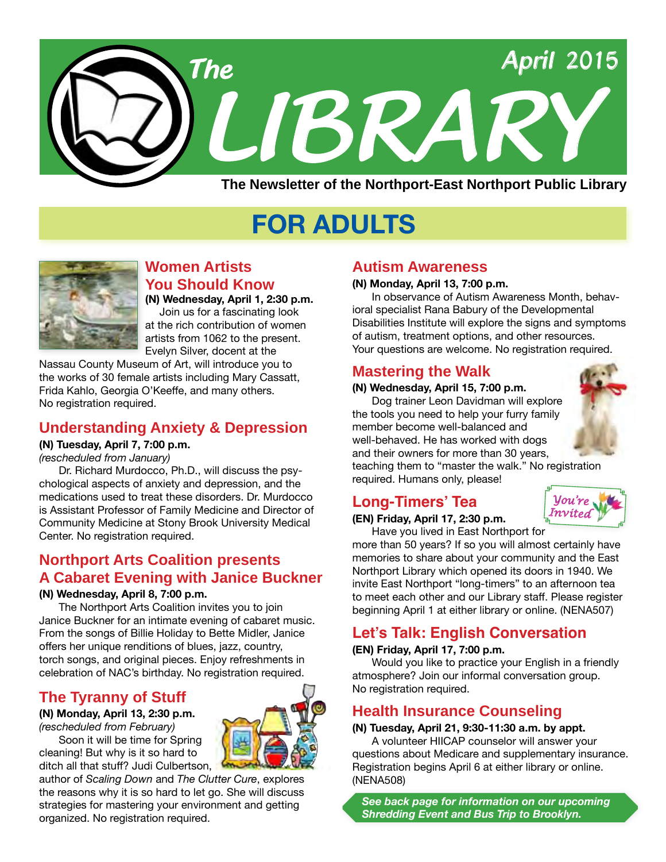

# **FOR ADULTS**



**Women Artists You Should Know (N) Wednesday, April 1, 2:30 p.m.**

 Join us for a fascinating look at the rich contribution of women artists from 1062 to the present. Evelyn Silver, docent at the

Nassau County Museum of Art, will introduce you to the works of 30 female artists including Mary Cassatt, Frida Kahlo, Georgia O'Keeffe, and many others. No registration required.

### **Understanding Anxiety & Depression**

**(N) Tuesday, April 7, 7:00 p.m.**

*(rescheduled from January)*

Dr. Richard Murdocco, Ph.D., will discuss the psychological aspects of anxiety and depression, and the medications used to treat these disorders. Dr. Murdocco is Assistant Professor of Family Medicine and Director of Community Medicine at Stony Brook University Medical Center. No registration required.

# **Northport Arts Coalition presents A Cabaret Evening with Janice Buckner**

#### **(N) Wednesday, April 8, 7:00 p.m.**

The Northport Arts Coalition invites you to join Janice Buckner for an intimate evening of cabaret music. From the songs of Billie Holiday to Bette Midler, Janice offers her unique renditions of blues, jazz, country, torch songs, and original pieces. Enjoy refreshments in celebration of NAC's birthday. No registration required.

# **The Tyranny of Stuff**

**(N) Monday, April 13, 2:30 p.m.** *(rescheduled from February)*

Soon it will be time for Spring cleaning! But why is it so hard to ditch all that stuff? Judi Culbertson,



### **Autism Awareness**

#### **(N) Monday, April 13, 7:00 p.m.**

In observance of Autism Awareness Month, behavioral specialist Rana Babury of the Developmental Disabilities Institute will explore the signs and symptoms of autism, treatment options, and other resources. Your questions are welcome. No registration required.

### **Mastering the Walk**

#### **(N) Wednesday, April 15, 7:00 p.m.**

Dog trainer Leon Davidman will explore the tools you need to help your furry family member become well-balanced and well-behaved. He has worked with dogs and their owners for more than 30 years,

teaching them to "master the walk." No registration required. Humans only, please!

# **Long-Timers' Tea**





Have you lived in East Northport for more than 50 years? If so you will almost certainly have memories to share about your community and the East Northport Library which opened its doors in 1940. We invite East Northport "long-timers" to an afternoon tea to meet each other and our Library staff. Please register beginning April 1 at either library or online. ([NENA507\)](http://alpha2.suffolk.lib.ny.us/search/?searchtype=X&SORT=D&searcharg=nena507&searchscope=43)

# **Let's Talk: English Conversation**

#### **(EN) Friday, April 17, 7:00 p.m.**

Would you like to practice your English in a friendly atmosphere? Join our informal conversation group. No registration required.

# **Health Insurance Counseling**

#### **(N) Tuesday, April 21, 9:30-11:30 a.m. by appt.**

A volunteer HIICAP counselor will answer your questions about Medicare and supplementary insurance. Registration begins April 6 at either library or online. ([NENA508](http://alpha2.suffolk.lib.ny.us/search/?searchtype=X&SORT=D&searcharg=nena508&searchscope=43))

*See back page for information on our upcoming Shredding Event and Bus Trip to Brooklyn.*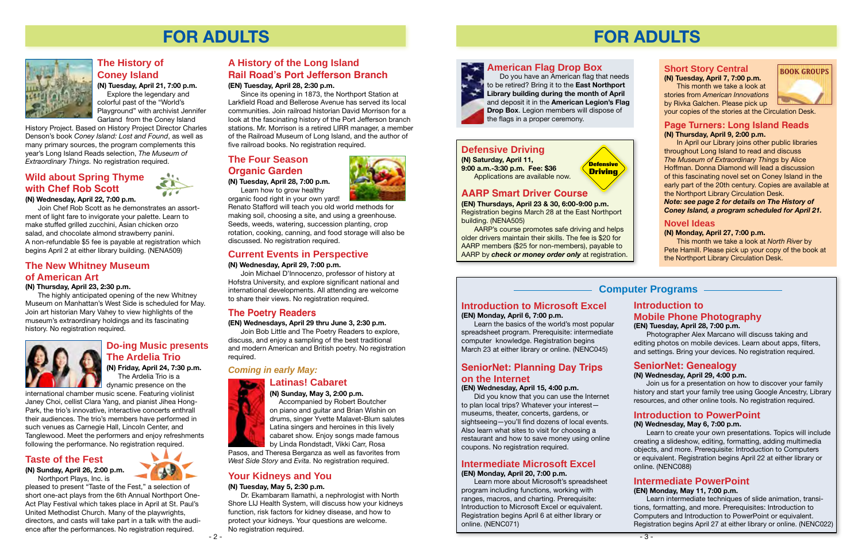# **Computer Programs**

# **FOR ADULTS**

#### **Short Story Central (N) Tuesday, April 7, 7:00 p.m.**

This month we take a look at stories from *American Innovations* by Rivka Galchen. Please pick up your copies of the stories at the Circulation Desk.

#### **Page Turners: Long Island Reads (N) Thursday, April 9, 2:00 p.m.**

In April our Library joins other public libraries throughout Long Island to read and discuss *The Museum of Extraordinary Things* by Alice Hoffman. Donna Diamond will lead a discussion of this fascinating novel set on Coney Island in the early part of the 20th century. Copies are available at the Northport Library Circulation Desk.

*Note: see page 2 for details on The History of Coney Island, a program scheduled for April 21.*

#### **Novel Ideas**

#### **(N) Monday, April 27, 7:00 p.m.**

This month we take a look at *North River* by Pete Hamill. Please pick up your copy of the book at the Northport Library Circulation Desk.

**BOOK GROUPS**

#### **Intermediate Microsoft Excel (EN) Monday, April 20, 7:00 p.m.**

Learn more about Microsoft's spreadsheet program including functions, working with ranges, macros, and charting. Prerequisite: Introduction to Microsoft Excel or equivalent. Registration begins April 6 at either library or online. [\(NENC071](http://alpha2.suffolk.lib.ny.us/search/?searchtype=X&SORT=D&searcharg=nenc071&searchscope=43))

# **Introduction to Microsoft Excel**

**(EN) Monday, April 6, 7:00 p.m.**

Learn the basics of the world's most popular spreadsheet program. Prerequisite: intermediate computer knowledge. Registration begins March 23 at either library or online. ([NENC045](http://alpha2.suffolk.lib.ny.us/search/?searchtype=X&SORT=D&searcharg=nenc045&searchscope=43))

# **SeniorNet: Genealogy**

#### **(N) Wednesday, April 29, 4:00 p.m.**

Join us for a presentation on how to discover your family history and start your family tree using Google Ancestry, Library resources, and other online tools. No registration required.

# **SeniorNet: Planning Day Trips on the Internet**

#### **(EN) Wednesday, April 15, 4:00 p.m.**

Did you know that you can use the Internet to plan local trips? Whatever your interest museums, theater, concerts, gardens, or sightseeing—you'll find dozens of local events. Also learn what sites to visit for choosing a restaurant and how to save money using online coupons. No registration required.

# **Introduction to Mobile Phone Photography**

#### **(EN) Tuesday, April 28, 7:00 p.m.**

Photographer Alex Marcano will discuss taking and editing photos on mobile devices. Learn about apps, filters, and settings. Bring your devices. No registration required.

# **Introduction to PowerPoint**

#### **(N) Wednesday, May 6, 7:00 p.m.**

Learn to create your own presentations. Topics will include creating a slideshow, editing, formatting, adding multimedia objects, and more. Prerequisite: Introduction to Computers or equivalent. Registration begins April 22 at either library or online. ([NENC088](http://alpha2.suffolk.lib.ny.us/search/?searchtype=X&SORT=D&searcharg=nenc088&searchscope=43))

**(N) Friday, April 24, 7:30 p.m.** The Ardelia Trio is a **dynamic presence on the** 

# **Intermediate PowerPoint**

#### **(EN) Monday, May 11, 7:00 p.m.**

Learn intermediate techniques of slide animation, transitions, formatting, and more. Prerequisites: Introduction to Computers and Introduction to PowerPoint or equivalent. Registration begins April 27 at either library or online. [\(NENC022\)](http://alpha2.suffolk.lib.ny.us/search/?searchtype=X&SORT=D&searcharg=nenc022&searchscope=43)

**Defensive Driving**

# **Defensive Driving**

**(N) Saturday, April 11, 9:00 a.m.-3:30 p.m. Fee: \$36** Applications are available now.

# **AARP Smart Driver Course**

**(EN) Thursdays, April 23 & 30, 6:00-9:00 p.m.** Registration begins March 28 at the East Northport building. ([NENA505](http://alpha2.suffolk.lib.ny.us/search/?searchtype=X&SORT=D&searcharg=nena505&searchscope=43))

AARP's course promotes safe driving and helps older drivers maintain their skills. The fee is \$20 for AARP members (\$25 for non-members), payable to AARP by *check or money order only* at registration.

**American Flag Drop Box**



Do you have an American flag that needs to be retired? Bring it to the **East Northport Library building during the month of April** and deposit it in the **American Legion's Flag Drop Box**. Legion members will dispose of the flags in a proper ceremony.

# **FOR ADULTS**



# **Current Events in Perspective**

#### **(N) Wednesday, April 29, 7:00 p.m.**

Join Michael D'Innocenzo, professor of history at Hofstra University, and explore significant national and international developments. All attending are welcome to share their views. No registration required.

# **The New Whitney Museum of American Art**

**(N) Thursday, April 23, 2:30 p.m.**

The highly anticipated opening of the new Whitney Museum on Manhattan's West Side is scheduled for May. Join art historian Mary Vahey to view highlights of the museum's extraordinary holdings and its fascinating history. No registration required.



# **A History of the Long Island Rail Road's Port Jefferson Branch**

#### **(EN) Tuesday, April 28, 2:30 p.m.**

Since its opening in 1873, the Northport Station at Larkfield Road and Bellerose Avenue has served its local communities. Join railroad historian David Morrison for a look at the fascinating history of the Port Jefferson branch stations. Mr. Morrison is a retired LIRR manager, a member of the Railroad Museum of Long Island, and the author of five railroad books. No registration required.

# **The Four Season Organic Garden**

**(N) Tuesday, April 28, 7:00 p.m.**

Learn how to grow healthy organic food right in your own yard!

Renato Stafford will teach you old world methods for making soil, choosing a site, and using a greenhouse. Seeds, weeds, watering, succession planting, crop rotation, cooking, canning, and food storage will also be discussed. No registration required.

# **Do-ing Music presents The Ardelia Trio**

international chamber music scene. Featuring violinist Janey Choi, cellist Clara Yang, and pianist Jihea Hong-Park, the trio's innovative, interactive concerts enthrall their audiences. The trio's members have performed in such venues as Carnegie Hall, Lincoln Center, and Tanglewood. Meet the performers and enjoy refreshments following the performance. No registration required.

# **Taste of the Fest**

**(N) Sunday, April 26, 2:00 p.m.** Northport Plays, Inc. is

pleased to present "Taste of the Fest," a selection of short one-act plays from the 6th Annual Northport One-Act Play Festival which takes place in April at St. Paul's United Methodist Church. Many of the playwrights, directors, and casts will take part in a talk with the audience after the performances. No registration required.

# **Wild about Spring Thyme with Chef Rob Scott**

**(N) Wednesday, April 22, 7:00 p.m.**

Join Chef Rob Scott as he demonstrates an assortment of light fare to invigorate your palette. Learn to make stuffed grilled zucchini, Asian chicken orzo salad, and chocolate almond strawberry panini. A non-refundable \$5 fee is payable at registration which begins April 2 at either library building. ([NENA509](http://alpha2.suffolk.lib.ny.us/search/?searchtype=X&SORT=D&searcharg=nena509&searchscope=43))

# **The History of Coney Island**

**(N) Tuesday, April 21, 7:00 p.m.** Explore the legendary and colorful past of the "World's Playground" with archivist Jennifer Garland from the Coney Island

History Project. Based on History Project Director Charles Denson's book *Coney Island: Lost and Found*, as well as many primary sources, the program complements this year's Long Island Reads selection, *The Museum of Extraordinary Things.* No registration required.

# **The Poetry Readers**

**(EN) Wednesdays, April 29 thru June 3, 2:30 p.m.**

Join Bob Little and The Poetry Readers to explore, discuss, and enjoy a sampling of the best traditional and modern American and British poetry. No registration required.

# **Latinas! Cabaret**



**(N) Sunday, May 3, 2:00 p.m.** Accompanied by Robert Boutcher on piano and guitar and Brian Wishin on drums, singer Yvette Malavet-Blum salutes Latina singers and heroines in this lively cabaret show. Enjoy songs made famous by Linda Rondstadt, Vikki Carr, Rosa

Pasos, and Theresa Berganza as well as favorites from *West Side Story* and *Evita*. No registration required.

# *Coming in early May:*

# **Your Kidneys and You**

#### **(N) Tuesday, May 5, 2:30 p.m.**

Dr. Ekambaram Ilamathi, a nephrologist with North Shore LIJ Health System, will discuss how your kidneys function, risk factors for kidney disease, and how to protect your kidneys. Your questions are welcome. No registration required.

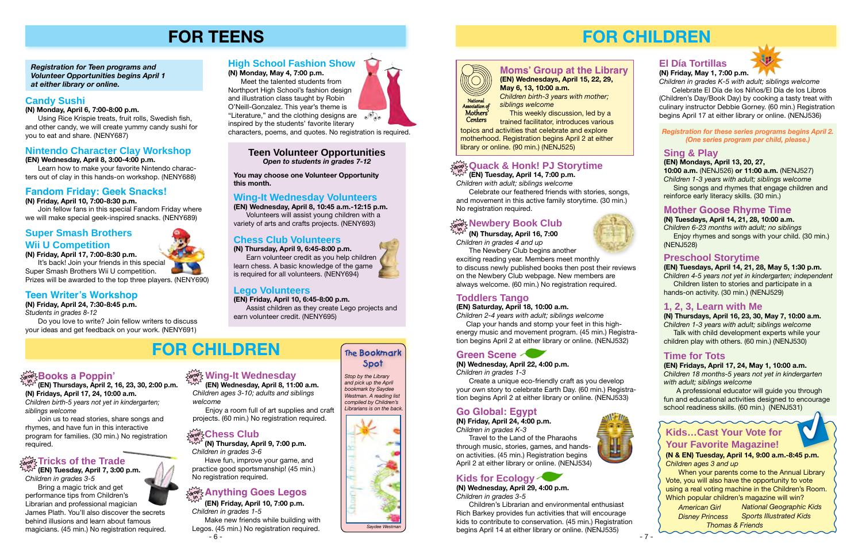**(EN) Tuesday, April 14, 7:00 p.m.**

*Children with adult; siblings welcome*

#### **Quack & Honk! PJ Storytime drop in**

Celebrate our feathered friends with stories, songs, and movement in this active family storytime. (30 min.) No registration required.

# **FOR CHILDREN**

# **Go Global: Egypt**

**(N) Friday, April 24, 4:00 p.m.**  *Children in grades K-3*

Travel to the Land of the Pharaohs through music, stories, games, and handson activities. (45 min.) Registration begins April 2 at either library or online. [\(NENJ534\)](http://alpha2.suffolk.lib.ny.us/search/?searchtype=X&SORT=D&searcharg=nenj534&searchscope=43)



# **Kids for Ecology**

**(N) Wednesday, April 29, 4:00 p.m.** *Children in grades 3-5*

Children's Librarian and environmental enthusiast Rich Barkey provides fun activities that will encourage kids to contribute to conservation. (45 min.) Registration begins April 14 at either library or online. [\(NENJ535\)](http://alpha2.suffolk.lib.ny.us/search/?searchtype=X&SORT=D&searcharg=nenj535&searchscope=43)













# **Toddlers Tango**

#### **(EN) Saturday, April 18, 10:00 a.m.**

*Children 2-4 years with adult; siblings welcome*

 Clap your hands and stomp your feet in this highenergy music and movement program. (45 min.) Registration begins April 2 at either library or online. [\(NENJ532\)](http://alpha2.suffolk.lib.ny.us/search/?searchtype=X&SORT=D&searcharg=nenj532&searchscope=43)

> A professional educator will guide you through fun and educational activities designed to encourage school readiness skills. (60 min.) [\(NENJ531\)](http://alpha2.suffolk.lib.ny.us/search/?searchtype=X&SORT=D&searcharg=nenj531searchscope=43) 1

#### **Mother Goose Rhyme Time**

**(N) Tuesdays, April 14, 21, 28, 10:00 a.m.** *Children 6-23 months with adult; no siblings* Enjoy rhymes and songs with your child. (30 min.)

 This weekly discussion, led by a **Centers** 

[\(NENJ528](http://alpha2.suffolk.lib.ny.us/search/?searchtype=X&SORT=D&searcharg=nenj528&searchscope=43))

#### **Sing & Play**

**(EN) Mondays, April 13, 20, 27,** 

**10:00 a.m.** [\(NENJ526\)](http://alpha2.suffolk.lib.ny.us/search/?searchtype=X&SORT=D&searcharg=nenj526&searchscope=43) **or 11:00 a.m.** [\(NENJ527\)](http://alpha2.suffolk.lib.ny.us/search/?searchtype=X&SORT=D&searcharg=nenj527&searchscope=43) *Children 1-3 years with adult; siblings welcome* Sing songs and rhymes that engage children and reinforce early literacy skills. (30 min.)

#### **1, 2, 3, Learn with Me**

**(N) Thursdays, April 16, 23, 30, May 7, 10:00 a.m.** *Children 1-3 years with adult; siblings welcome*

 Talk with child development experts while your children play with others. (60 min.) [\(NENJ530\)](http://alpha2.suffolk.lib.ny.us/search/?searchtype=X&SORT=D&searcharg=nenaj530&searchscope=43)

### **Preschool Storytime**

**(EN) Tuesdays, April 14, 21, 28, May 5, 1:30 p.m.**  *Children 4-5 years not yet in kindergarten; independent*

 Children listen to stories and participate in a hands-on activity. (30 min.) ([NENJ529](http://alpha2.suffolk.lib.ny.us/search/?searchtype=X&SORT=D&searcharg=nenj529&searchscope=43))

#### **Time for Tots**

**(EN) Fridays, April 17, 24, May 1, 10:00 a.m.** *Children 18 months-5 years not yet in kindergarten with adult; siblings welcome*

#### **Newbery Book Club in**

#### *Registration for these series programs begins April 2. (One series program per child, please.)*

# **Moms' Group at the Library**

**(EN) Wednesdays, April 15, 22, 29, May 6, 13, 10:00 a.m.** *Children birth-3 years with mother; siblings welcome*

trained facilitator, introduces various topics and activities that celebrate and explore motherhood. Registration begins April 2 at either

library or online. (90 min.) ([NENJ525](http://alpha2.suffolk.lib.ny.us/search/?searchtype=X&SORT=D&searcharg=nenj525&searchscope=43))



# **Green Scene**

**(N) Wednesday, April 22, 4:00 p.m.** *Children in grades 1-3*

Create a unique eco-friendly craft as you develop your own story to celebrate Earth Day. (60 min.) Registration begins April 2 at either library or online. [\(NENJ533\)](http://alpha2.suffolk.lib.ny.us/search/?searchtype=X&SORT=D&searcharg=nenj533&searchscope=43)

### **El Día Tortillas**



**(N) Friday, May 1, 7:00 p.m.**

*Children in grades K-5 with adult; siblings welcome*  Celebrate El Día de los Niños/El Día de los Libros (Children's Day/Book Day) by cooking a tasty treat with culinary instructor Debbie Gorney. (60 min.) Registration begins April 17 at either library or online. [\(NENJ536\)](http://alpha2.suffolk.lib.ny.us/search/?searchtype=X&SORT=D&searcharg=nenj536&searchscope=43)

**(N) Thursday, April 16, 7:00** *Children in grades 4 and up*

It's back! Join your friends in this special Super Smash Brothers Wii U competition.

The Newbery Club begins another exciting reading year. Members meet monthly to discuss newly published books then post their reviews on the Newbery Club webpage. New members are always welcome. (60 min.) No registration required.

# **Kids…Cast Your Vote for Your Favorite Magazine!**

**(N & EN) Tuesday, April 14, 9:00 a.m.-8:45 p.m.**  *Children ages 3 and up*

When your parents come to the Annual Library Vote, you will also have the opportunity to vote using a real voting machine in the Children's Room. Which popular children's magazine will win?

*American Girl Disney Princess National Geographic Kids Sports Illustrated Kids Thomas & Friends*

# **drop in Books a Poppin'**

**(EN) Thursdays, April 2, 16, 23, 30, 2:00 p.m. (N) Fridays, April 17, 24, 10:00 a.m.** *Children birth-5 years not yet in kindergarten;* 

*siblings welcome* Join us to read stories, share songs and rhymes, and have fun in this interactive program for families. (30 min.) No registration

# $\frac{1}{\alpha! \alpha!}$  Tricks of the Trade

required.

**(N) Thursday, April 9, 7:00 p.m.** *Children in grades 3-6*

Have fun, improve your game, and practice good sportsmanship! (45 min.) No registration required.

# $\frac{\partial \mathbf{p}}{\partial \mathbf{q}}$ &nything Goes Legos

# **Teen Volunteer Opportunities**

*Open to students in grades 7-12* 

#### *Registration for Teen programs and Volunteer Opportunities begins April 1 at either library or online.*

# **FOR TEENS**

**You may choose one Volunteer Opportunity this month.**

# **drop in Wing-It Wednesday**

- 6 - Make new friends while building with Legos. (45 min.) No registration required.

**(EN) Tuesday, April 7, 3:00 p.m.** *Children in grades 3-5* Bring a magic trick and get performance tips from Children's Librarian and professional magician James Plath. You'll also discover the secrets behind illusions and learn about famous magicians. (45 min.) No registration required. **in**

**(EN) Friday, April 10, 7:00 p.m.** *Children in grades 1-5*

**(EN) Wednesday, April 8, 11:00 a.m.** *Children ages 3-10; adults and siblings welcome*

Enjoy a room full of art supplies and craft projects. (60 min.) No registration required.

# **Teen Writer's Workshop**

**(N) Friday, April 24, 7:30-8:45 p.m.**

*Students in grades 8-12*

Do you love to write? Join fellow writers to discuss your ideas and get feedback on your work. ([NENY691](http://alpha2.suffolk.lib.ny.us/search/?searchtype=X&SORT=D&searcharg=neny691&searchscope=43))

# **Wing-It Wednesday Volunteers**

**(EN) Wednesday, April 8, 10:45 a.m.-12:15 p.m.** Volunteers will assist young children with a variety of arts and crafts projects. ([NENY693](http://alpha2.suffolk.lib.ny.us/search/?searchtype=X&SORT=D&searcharg=neny693&searchscope=43))

# **Chess Club Volunteers**

**(N) Thursday, April 9, 6:45-8:00 p.m.** Earn volunteer credit as you help children

#### **Chess Club drop in**

learn chess. A basic knowledge of the game is required for all volunteers. [\(NENY694\)](http://alpha2.suffolk.lib.ny.us/search/?searchtype=X&SORT=D&searcharg=neny694&searchscope=43)

# **Lego Volunteers**

#### **(EN) Friday, April 10, 6:45-8:00 p.m.**

Assist children as they create Lego projects and earn volunteer credit. ([NENY695](http://alpha2.suffolk.lib.ny.us/search/?searchtype=X&SORT=D&searcharg=neny695&searchscope=43))

#### **Candy Sushi**

**(N) Monday, April 6, 7:00-8:00 p.m.**

Using Rice Krispie treats, fruit rolls, Swedish fish, and other candy, we will create yummy candy sushi for you to eat and share. ([NENY687](http://alpha2.suffolk.lib.ny.us/search/?searchtype=X&SORT=D&searcharg=neny687&searchscope=43))

# **Nintendo Character Clay Workshop**

**(EN) Wednesday, April 8, 3:00-4:00 p.m.**

Learn how to make your favorite Nintendo characters out of clay in this hands-on workshop. ([NENY688\)](http://alpha2.suffolk.lib.ny.us/search/?searchtype=X&SORT=D&searcharg=neny688&searchscope=43)

# **Fandom Friday: Geek Snacks!**

#### **(N) Friday, April 10, 7:00-8:30 p.m.**

Join fellow fans in this special Fandom Friday where we will make special geek-inspired snacks. ([NENY689](http://alpha2.suffolk.lib.ny.us/search/?searchtype=X&SORT=D&searcharg=neny689&searchscope=43))

# **Super Smash Brothers Wii U Competition**

**(N) Friday, April 17, 7:00-8:30 p.m.**

Prizes will be awarded to the top three players. [\(NENY690](http://alpha2.suffolk.lib.ny.us/search/?searchtype=X&SORT=D&searcharg=neny690&searchscope=43))

# **High School Fashion Show**

**(N) Monday, May 4, 7:00 p.m.**

Meet the talented students from Northport High School's fashion design and illustration class taught by Robin O'Neill-Gonzalez. This year's theme is "Literature," and the clothing designs are  $\sqrt{\psi}$ , inspired by the students' favorite literary

characters, poems, and quotes. No registration is required.

# **FOR CHILDREN The Bookmark**

# **Spot**

*Stop by the Library and pick up the April bookmark by Saydee Westman. A reading list compiled by Children's Librarians is on the back.*



*Saydee Westman*